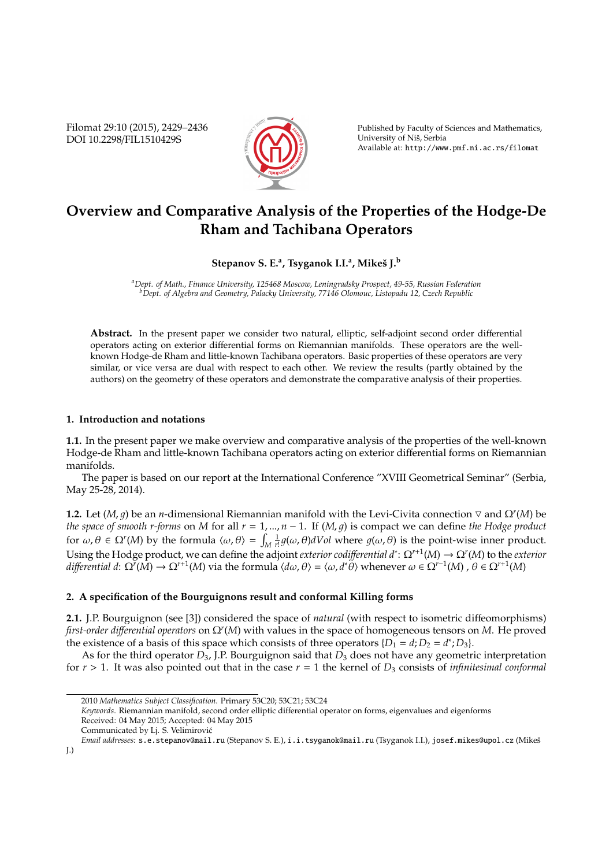Filomat 29:10 (2015), 2429–2436 DOI 10.2298/FIL1510429S



Published by Faculty of Sciences and Mathematics, University of Niš, Serbia Available at: http://www.pmf.ni.ac.rs/filomat

# **Overview and Comparative Analysis of the Properties of the Hodge-De Rham and Tachibana Operators**

# **Stepanov S. E.<sup>a</sup> , Tsyganok I.I.<sup>a</sup> , Mikeˇs J.<sup>b</sup>**

*<sup>a</sup>Dept. of Math., Finance University, 125468 Moscow, Leningradsky Prospect, 49-55, Russian Federation <sup>b</sup>Dept. of Algebra and Geometry, Palacky University, 77146 Olomouc, Listopadu 12, Czech Republic*

**Abstract.** In the present paper we consider two natural, elliptic, self-adjoint second order differential operators acting on exterior differential forms on Riemannian manifolds. These operators are the wellknown Hodge-de Rham and little-known Tachibana operators. Basic properties of these operators are very similar, or vice versa are dual with respect to each other. We review the results (partly obtained by the authors) on the geometry of these operators and demonstrate the comparative analysis of their properties.

# **1. Introduction and notations**

**1.1.** In the present paper we make overview and comparative analysis of the properties of the well-known Hodge-de Rham and little-known Tachibana operators acting on exterior differential forms on Riemannian manifolds.

The paper is based on our report at the International Conference "XVIII Geometrical Seminar" (Serbia, May 25-28, 2014).

**1.2.** Let  $(M, g)$  be an *n*-dimensional Riemannian manifold with the Levi-Civita connection  $\nabla$  and  $\Omega^r(M)$  be *the space of smooth r-forms* on *M* for all  $r = 1, ..., n - 1$ . If  $(M, g)$  is compact we can define *the Hodge product* for  $\omega, \theta \in \Omega^r(M)$  by the formula  $\langle \omega, \theta \rangle = \int_M$  $\frac{1}{r!}g(\omega,\theta)dVol$  where  $g(\omega,\theta)$  is the point-wise inner product. Using the Hodge product, we can define the adjoint *exterior codi*ff*erential d*<sup>∗</sup> : Ω*r*+<sup>1</sup> (*M*) → Ω*<sup>r</sup>* (*M*) to the *exterior*  $d$ *ifferential d*:  $\Omega^{\gamma}(M) \to \Omega^{r+1}(M)$  via the formula  $\langle d\omega, \theta \rangle = \langle \omega, d^*\theta \rangle$  whenever  $\omega \in \Omega^{r-1}(M)$  ,  $\theta \in \Omega^{r+1}(M)$ 

# **2. A specification of the Bourguignons result and conformal Killing forms**

**2.1.** J.P. Bourguignon (see [3]) considered the space of *natural* (with respect to isometric diffeomorphisms) *first-order di*ff*erential operators* on Ω*<sup>r</sup>* (*M*) with values in the space of homogeneous tensors on *M*. He proved the existence of a basis of this space which consists of three operators  $\{D_1 = d; D_2 = d^*; D_3\}$ .

As for the third operator *D*3, J.P. Bourguignon said that *D*<sup>3</sup> does not have any geometric interpretation for  $r > 1$ . It was also pointed out that in the case  $r = 1$  the kernel of  $D_3$  consists of *infinitesimal conformal* 

<sup>2010</sup> *Mathematics Subject Classification*. Primary 53C20; 53C21; 53C24

*Keywords*. Riemannian manifold, second order elliptic differential operator on forms, eigenvalues and eigenforms Received: 04 May 2015; Accepted: 04 May 2015

Communicated by Lj. S. Velimirovic´

*Email addresses:* s.e.stepanov@mail.ru (Stepanov S. E.), i.i.tsyganok@mail.ru (Tsyganok I.I.), josef.mikes@upol.cz (Mikesˇ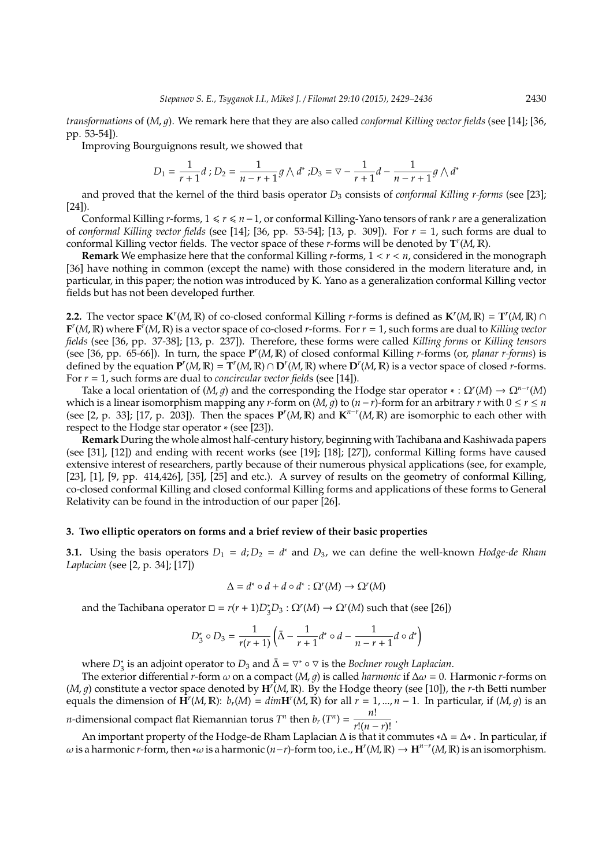*transformations* of (*M*, *q*). We remark here that they are also called *conformal Killing vector fields* (see [14]; [36, pp. 53-54]).

Improving Bourguignons result, we showed that

$$
D_1 = \frac{1}{r+1}d
$$
;  $D_2 = \frac{1}{n-r+1}g \wedge d^*$ ;  $D_3 = \nabla - \frac{1}{r+1}d - \frac{1}{n-r+1}g \wedge d^*$ 

and proved that the kernel of the third basis operator *D*<sup>3</sup> consists of *conformal Killing r-forms* (see [23]; [24]).

Conformal Killing *r*-forms, 1 6 *r* 6 *n*−1, or conformal Killing-Yano tensors of rank *r* are a generalization of *conformal Killing vector fields* (see [14]; [36, pp. 53-54]; [13, p. 309]). For *r* = 1, such forms are dual to conformal Killing vector fields. The vector space of these *r*-forms will be denoted by **T** *r* (*M*, R).

**Remark** We emphasize here that the conformal Killing *r*-forms, 1 < *r* < *n*, considered in the monograph [36] have nothing in common (except the name) with those considered in the modern literature and, in particular, in this paper; the notion was introduced by K. Yano as a generalization conformal Killing vector fields but has not been developed further.

**2.2.** The vector space  $\mathbf{K}^r(M,\mathbb{R})$  of co-closed conformal Killing *r*-forms is defined as  $\mathbf{K}^r(M,\mathbb{R}) = \mathbf{T}^r(M,\mathbb{R}) \cap \mathbb{R}$  $F'(M, \mathbb{R})$  where  $F'(M, \mathbb{R})$  is a vector space of co-closed *r*-forms. For  $r = 1$ , such forms are dual to *Killing vector fields* (see [36, pp. 37-38]; [13, p. 237]). Therefore, these forms were called *Killing forms* or *Killing tensors* (see [36, pp. 65-66]). In turn, the space **P** *r* (*M*, R) of closed conformal Killing *r*-forms (or, *planar r-forms*) is defined by the equation  $P^{r}(M,\mathbb{R}) = T^{r}(M,\mathbb{R}) \cap D^{r}(M,\mathbb{R})$  where  $D^{r}(M,\mathbb{R})$  is a vector space of closed *r*-forms. For *r* = 1, such forms are dual to *concircular vector field*s (see [14]).

Take a local orientation of  $(M, g)$  and the corresponding the Hodge star operator  $* : \Omega^r(M) \to \Omega^{n-r}(M)$ which is a linear isomorphism mapping any *r*-form on (*M*, *g*) to ( $n - r$ )-form for an arbitrary  $r$  with  $0 \le r \le n$ (see [2, p. 33]; [17, p. 203]). Then the spaces  $P^{r}(M,\mathbb{R})$  and  $\mathbf{K}^{n-r}(M,\mathbb{R})$  are isomorphic to each other with respect to the Hodge star operator ∗ (see [23]).

**Remark** During the whole almost half-century history, beginning with Tachibana and Kashiwada papers (see [31], [12]) and ending with recent works (see [19]; [18]; [27]), conformal Killing forms have caused extensive interest of researchers, partly because of their numerous physical applications (see, for example, [23], [1], [9, pp. 414,426], [35], [25] and etc.). A survey of results on the geometry of conformal Killing, co-closed conformal Killing and closed conformal Killing forms and applications of these forms to General Relativity can be found in the introduction of our paper [26].

## **3. Two elliptic operators on forms and a brief review of their basic properties**

**3.1.** Using the basis operators  $D_1 = d$ ;  $D_2 = d^*$  and  $D_3$ , we can define the well-known *Hodge-de Rham Laplacian* (see [2, p. 34]; [17])

$$
\Delta = d^* \circ d + d \circ d^* : \Omega^r(M) \to \Omega^r(M)
$$

and the Tachibana operator  $\Box = r(r+1)D_3^*D_3$  :  $\Omega^r(M) \to \Omega^r(M)$  such that (see [26])

$$
D_3^* \circ D_3 = \frac{1}{r(r+1)} \left( \bar{\Delta} - \frac{1}{r+1} d^* \circ d - \frac{1}{n-r+1} d \circ d^* \right)
$$

where *D*<sup>∗</sup><sub>3</sub> is an adjoint operator to *D*<sub>3</sub> and  $\bar{\Delta} = \nabla^* \circ \nabla$  is the *Bochner rough Laplacian*.

The exterior differential *r*-form  $\omega$  on a compact (*M*, *g*) is called *harmonic* if  $\Delta \omega = 0$ . Harmonic *r*-forms on  $(M, g)$  constitute a vector space denoted by  $H^{r}(M, \mathbb{R})$ . By the Hodge theory (see [10]), the *r*-th Betti number equals the dimension of  $\mathbf{H}^r(M,\mathbb{R})$ :  $b_r(M) = dim \mathbf{H}^r(M,\mathbb{R})$  for all  $r = 1,..., n - 1$ . In particular, if  $(M, g)$  is an *n*-dimensional compact flat Riemannian torus *T*<sup>*n*</sup> then *b<sub>r</sub>* (*T*<sup>*n*</sup>) =  $\frac{n!}{r!(n-r)!}$ .

An important property of the Hodge-de Rham Laplacian  $\Delta$  is that it commutes  $*\Delta = \Delta^*$ . In particular, if  $ω$  is a harmonic *r*-form, then \*ω is a harmonic (*n*−*r*)-form too, i.e., **H**<sup>*r*</sup>(*M*, **R**) → **H**<sup>*n*−*r*</sup>(*M*, **R**) is an isomorphism.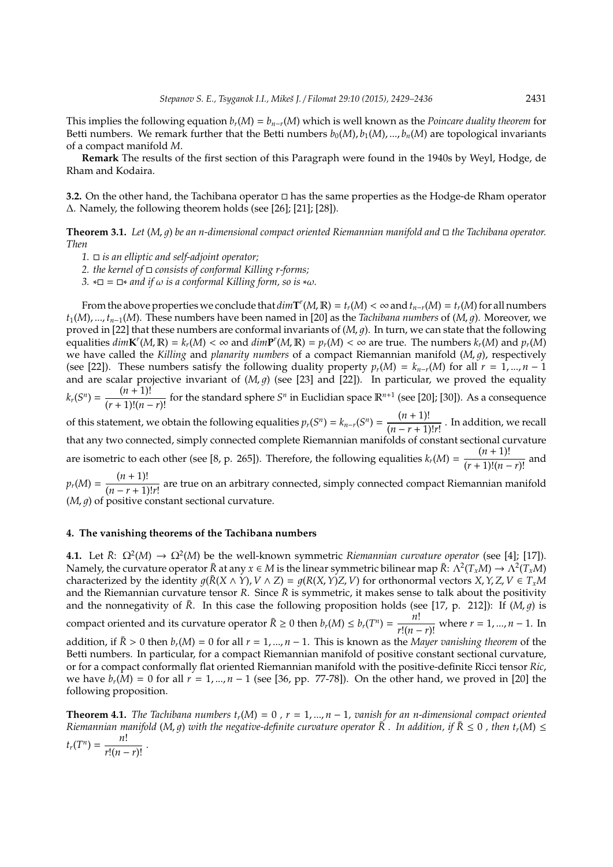This implies the following equation  $b_r(M) = b_{n-r}(M)$  which is well known as the *Poincare duality theorem* for Betti numbers. We remark further that the Betti numbers  $b_0(M), b_1(M), ..., b_n(M)$  are topological invariants of a compact manifold *M*.

**Remark** The results of the first section of this Paragraph were found in the 1940s by Weyl, Hodge, de Rham and Kodaira.

**3.2.** On the other hand, the Tachibana operator □ has the same properties as the Hodge-de Rham operator ∆. Namely, the following theorem holds (see [26]; [21]; [28]).

**Theorem 3.1.** *Let*  $(M, q)$  *be an n-dimensional compact oriented Riemannian manifold and*  $\Box$  *the Tachibana operator. Then*

*1. is an elliptic and self-adjoint operator;*

*2. the kernel of consists of conformal Killing r-forms;*

*3.*  $*\square = \square *$  *and if*  $\omega$  *is a conformal Killing form, so is*  $*\omega$ *.* 

From the above properties we conclude that  $dim T^r(M, \mathbb{R}) = t_r(M) < \infty$  and  $t_{n-r}(M) = t_r(M)$  for all numbers  $t_1(M),..., t_{n-1}(M)$ . These numbers have been named in [20] as the *Tachibana numbers* of  $(M, g)$ . Moreover, we proved in [22] that these numbers are conformal invariants of  $(M, g)$ . In turn, we can state that the following equalities  $dim K^{r}(M,\mathbb{R})=k_{r}(M)<\infty$  and  $dim \mathbf{P}^{r}(M,\mathbb{R})=p_{r}(M)<\infty$  are true. The numbers  $k_{r}(M)$  and  $p_{r}(M)$ we have called the *Killing* and *planarity numbers* of a compact Riemannian manifold  $(M, q)$ , respectively (see [22]). These numbers satisfy the following duality property  $p_r(M) = k_{n-r}(M)$  for all  $r = 1, ..., n - 1$ and are scalar projective invariant of  $(M, g)$  (see [23] and [22]). In particular, we proved the equality  $k_r(S^n) = \frac{(n+1)!}{(r+1)!(n-r)!}$  for the standard sphere *S<sup>n</sup>* in Euclidian space  $\mathbb{R}^{n+1}$  (see [20]; [30]). As a consequence of this statement, we obtain the following equalities  $p_r(S^n) = k_{n-r}(S^n) = \frac{(n+1)!}{(n-r+1)!}$  $\frac{(n-r+1)!}{(n-r+1)!r!}$ . In addition, we recall that any two connected, simply connected complete Riemannian manifolds of constant sectional curvature are isometric to each other (see [8, p. 265]). Therefore, the following equalities  $k_r(M) = \frac{(n+1)!}{(r+1)!(n-r)!}$  and

 $p_r(M) = \frac{(n+1)!}{(n-r+1)!}$ (*n* − *r* + 1)!*r*! are true on an arbitrary connected, simply connected compact Riemannian manifold  $(M, q)$  of positive constant sectional curvature.

# **4. The vanishing theorems of the Tachibana numbers**

**4.1.** Let  $\bar{R}$ :  $\Omega^2(M) \to \Omega^2(M)$  be the well-known symmetric *Riemannian curvature operator* (see [4]; [17]). Namely, the curvature operator  $\bar{R}$  at any  $x \in M$  is the linear symmetric bilinear map  $\bar{R}$ :  $\Lambda^2(T_xM) \to \Lambda^2(T_xM)$ characterized by the identity  $q(\bar{R}(X \wedge Y), V \wedge Z) = q(R(X, Y)Z, V)$  for orthonormal vectors  $X, Y, Z, V \in T_xM$ and the Riemannian curvature tensor *R*. Since  $\bar{R}$  is symmetric, it makes sense to talk about the positivity and the nonnegativity of  $\bar{R}$ . In this case the following proposition holds (see [17, p. 212]): If  $(M, q)$  is compact oriented and its curvature operator  $\bar{R} \ge 0$  then  $b_r(M) \le b_r(T^n) = \frac{n!}{r!(n-r)!}$  where  $r = 1, ..., n-1$ . In addition, if  $\bar{R} > 0$  then  $b_r(M) = 0$  for all  $r = 1, ..., n - 1$ . This is known as the *Mayer vanishing theorem* of the Betti numbers. In particular, for a compact Riemannian manifold of positive constant sectional curvature, or for a compact conformally flat oriented Riemannian manifold with the positive-definite Ricci tensor *Ric*, we have *br*(*M*) = 0 for all *r* = 1, ..., *n* − 1 (see [36, pp. 77-78]). On the other hand, we proved in [20] the following proposition.

**Theorem 4.1.** *The Tachibana numbers*  $t_r(M) = 0$ ,  $r = 1, ..., n - 1$ , *vanish for an n-dimensional compact oriented Riemannian manifold* (*M, g*) *with the negative-definite curvature operator*  $\bar{R}$ . In addition, if  $\bar{R} \le 0$ , then  $t_r(M) \le$  $t_r(T^n) = \frac{n!}{r!(n-r)!}$ .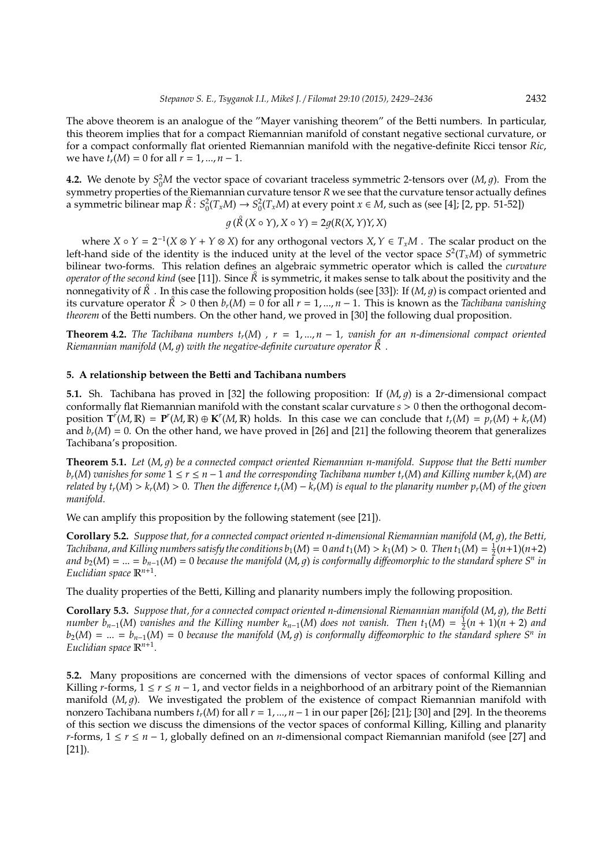The above theorem is an analogue of the "Mayer vanishing theorem" of the Betti numbers. In particular, this theorem implies that for a compact Riemannian manifold of constant negative sectional curvature, or for a compact conformally flat oriented Riemannian manifold with the negative-definite Ricci tensor *Ric*, we have  $t_r(M) = 0$  for all  $r = 1, ..., n - 1$ .

**4.2.** We denote by  $S_0^2M$  the vector space of covariant traceless symmetric 2-tensors over  $(M, g)$ . From the symmetry properties of the Riemannian curvature tensor *R* we see that the curvature tensor actually defines a symmetric bilinear map  $\mathring{R}$ :  $S_0^2(T_xM) \to S_0^2(T_xM)$  at every point  $x \in M$ , such as (see [4]; [2, pp. 51-52])

$$
g(\overset{\circ}{R}(X \circ Y), X \circ Y) = 2g(R(X, Y)Y, X)
$$

where  $X \circ Y = 2^{-1}(X \otimes Y + Y \otimes X)$  for any orthogonal vectors  $X, Y \in T_xM$ . The scalar product on the left-hand side of the identity is the induced unity at the level of the vector space *S* 2 (*TxM*) of symmetric bilinear two-forms. This relation defines an algebraic symmetric operator which is called the *curvature operator of the second kind* (see [11]). Since *R* is symmetric, it makes sense to talk about the positivity and the nonnegativity of  $\tilde{R}$  . In this case the following proposition holds (see [33]): If  $(M, g)$  is compact oriented and its curvature operator  $\mathring{R} > 0$  then  $b_r(M) = 0$  for all  $r = 1, ..., n - 1$ . This is known as the *Tachibana vanishing theorem* of the Betti numbers. On the other hand, we proved in [30] the following dual proposition.

**Theorem 4.2.** *The Tachibana numbers*  $t_r(M)$ ,  $r = 1, ..., n - 1$ , vanish for an n-dimensional compact oriented **Riemannian manifold** (*M*, *g*) with the negative-definite curvature operator  $\mathbb{R}$ <sup></sup>.

#### **5. A relationship between the Betti and Tachibana numbers**

**5.1.** Sh. Tachibana has proved in [32] the following proposition: If  $(M, g)$  is a 2*r*-dimensional compact conformally flat Riemannian manifold with the constant scalar curvature *s* > 0 then the orthogonal decomposition  $T^{r}(M,\mathbb{R}) = P^{r}(M,\mathbb{R}) \oplus K^{r}(M,\mathbb{R})$  holds. In this case we can conclude that  $t_{r}(M) = p_{r}(M) + k_{r}(M)$ and  $b_r(M) = 0$ . On the other hand, we have proved in [26] and [21] the following theorem that generalizes Tachibana's proposition.

**Theorem 5.1.** *Let*  $(M, q)$  *be a connected compact oriented Riemannian n-manifold. Suppose that the Betti number br*(*M*) *vanishes for some* 1 ≤ *r* ≤ *n* − 1 *and the corresponding Tachibana number tr*(*M*) *and Killing number kr*(*M*) *are* related by  $t_r(M) > k_r(M) > 0$ . Then the difference  $t_r(M) - k_r(M)$  is equal to the planarity number  $p_r(M)$  of the given *manifold.*

We can amplify this proposition by the following statement (see [21]).

**Corollary 5.2.** *Suppose that, for a connected compact oriented n-dimensional Riemannian manifold* (*M, q*), the Betti, *Tachibana, and Killing numbers satisfy the conditions*  $b_1(M) = 0$  *and*  $t_1(M) > k_1(M) > 0$ *. Then*  $t_1(M) = \frac{1}{2}(n+1)(n+2)$ and b<sub>2</sub>(M) = … = b<sub>n−1</sub>(M) = 0 because the manifold (M, g) is conformally diffeomorphic to the standard sphere S<sup>n</sup> in *Euclidian space* R*n*+<sup>1</sup> *.*

The duality properties of the Betti, Killing and planarity numbers imply the following proposition.

**Corollary 5.3.** *Suppose that, for a connected compact oriented n-dimensional Riemannian manifold* (*M, q*), the Betti *number*  $b_{n-1}(M)$  *vanishes and the Killing number*  $k_{n-1}(M)$  *does not vanish. Then*  $t_1(M) = \frac{1}{2}(n+1)(n+2)$  *and*  $b_2(M) = ... = b_{n-1}(M) = 0$  *because the manifold*  $(M, g)$  *is conformally diffeomorphic to the standard sphere*  $S^n$  *in Euclidian space* R*<sup>n</sup>*+<sup>1</sup> *.*

**5.2.** Many propositions are concerned with the dimensions of vector spaces of conformal Killing and Killing *r*-forms,  $1 \le r \le n - 1$ , and vector fields in a neighborhood of an arbitrary point of the Riemannian manifold  $(M, g)$ . We investigated the problem of the existence of compact Riemannian manifold with nonzero Tachibana numbers  $t_r(M)$  for all  $r = 1, ..., n-1$  in our paper [26]; [21]; [30] and [29]. In the theorems of this section we discuss the dimensions of the vector spaces of conformal Killing, Killing and planarity *r*-forms, 1 ≤ *r* ≤ *n* − 1, globally defined on an *n*-dimensional compact Riemannian manifold (see [27] and [21]).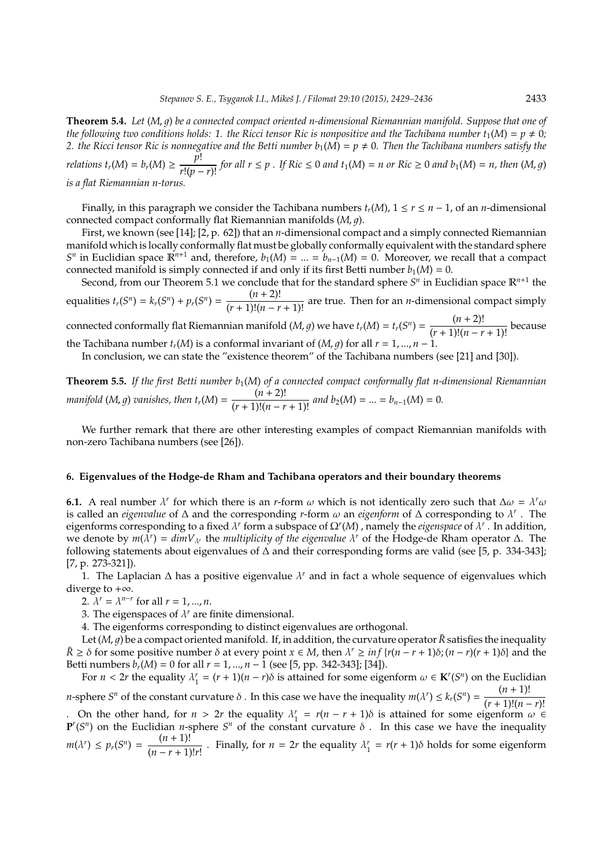**Theorem 5.4.** *Let* (*M*, 1) *be a connected compact oriented n-dimensional Riemannian manifold. Suppose that one of the following two conditions holds: 1. the Ricci tensor Ric is nonpositive and the Tachibana number*  $t_1(M) = p \neq 0$ *;* 2. the Ricci tensor Ric is nonnegative and the Betti number  $b_1(M) = p \neq 0$ . Then the Tachibana numbers satisfy the

relations  $t_r(M) = b_r(M) \ge \frac{p!}{r!(p-r)!}$  for all  $r \le p$  . If  $Ric \le 0$  and  $t_1(M) = n$  or  $Ric \ge 0$  and  $b_1(M) = n$ , then  $(M, g)$ *is a flat Riemannian n-torus.*

Finally, in this paragraph we consider the Tachibana numbers  $t_r(M)$ ,  $1 \le r \le n - 1$ , of an *n*-dimensional connected compact conformally flat Riemannian manifolds (*M*, *q*).

First, we known (see [14]; [2, p. 62]) that an *n*-dimensional compact and a simply connected Riemannian manifold which is locally conformally flat must be globally conformally equivalent with the standard sphere *S*<sup>*n*</sup> in Euclidian space  $\mathbb{R}^{n+1}$  and, therefore, *b*<sub>1</sub>(*M*) = ... = *b*<sub>*n*−1</sub>(*M*) = 0. Moreover, we recall that a compact connected manifold is simply connected if and only if its first Betti number  $b_1(M) = 0$ .

Second, from our Theorem 5.1 we conclude that for the standard sphere  $S<sup>n</sup>$  in Euclidian space  $\mathbb{R}^{n+1}$  the equalities  $t_r(S^n) = k_r(S^n) + p_r(S^n) = \frac{(n+2)!}{(r+1)!(n-r+1)!}$  are true. Then for an *n*-dimensional compact simply

connected conformally flat Riemannian manifold  $(M, g)$  we have  $t_r(M) = t_r(S^n) = \frac{(n+2)!}{(r+1)!(n-r+1)!}$  because the Tachibana number  $t_r(M)$  is a conformal invariant of  $(M, g)$  for all  $r = 1, ..., n - 1$ .

In conclusion, we can state the "existence theorem" of the Tachibana numbers (see [21] and [30]).

**Theorem 5.5.** *If the first Betti number b*1(*M*) *of a connected compact conformally flat n-dimensional Riemannian manifold*  $(M, g)$  *vanishes, then*  $t_r(M) = \frac{(n+2)!}{(r+1)!(n-r+1)!}$  *and*  $b_2(M) = ... = b_{n-1}(M) = 0$ *.* 

We further remark that there are other interesting examples of compact Riemannian manifolds with non-zero Tachibana numbers (see [26]).

#### **6. Eigenvalues of the Hodge-de Rham and Tachibana operators and their boundary theorems**

**6.1.** A real number  $\lambda^r$  for which there is an *r*-form  $\omega$  which is not identically zero such that  $\Delta\omega = \lambda^r \omega$ is called an *eigenvalue* of ∆ and the corresponding *r*-form ω an *eigenform* of ∆ corresponding to λ *r* . The eigenforms corresponding to a fixed  $\lambda^r$  form a subspace of  $\Omega^r(M)$  , namely the *eigenspace* of  $\lambda^r$ . In addition, *we denote by*  $m(\lambda^r) = dimV_{\lambda^r}$  *the <i>multiplicity of the eigenvalue*  $\lambda^r$  of the Hodge-de Rham operator  $\Delta$ . The following statements about eigenvalues of ∆ and their corresponding forms are valid (see [5, p. 334-343]; [7, p. 273-321]).

1. The Laplacian ∆ has a positive eigenvalue  $\lambda^r$  and in fact a whole sequence of eigenvalues which diverge to  $+\infty$ .

2.  $\lambda^{r} = \lambda^{n-r}$  for all  $r = 1, ..., n$ .

3. The eigenspaces of  $\lambda^r$  are finite dimensional.

4. The eigenforms corresponding to distinct eigenvalues are orthogonal.

Let  $(M, q)$  be a compact oriented manifold. If, in addition, the curvature operator  $\bar{R}$  satisfies the inequality  $\bar{R} \geq \delta$  for some positive number  $\delta$  at every point  $x \in M$ , then  $\lambda^r \geq \inf \{r(n-r+1)\delta; (n-r)(r+1)\delta\}$  and the Betti numbers  $b_r(M) = 0$  for all  $r = 1, ..., n - 1$  (see [5, pp. 342-343]; [34]).

For  $n < 2r$  the equality  $\lambda_1^r = (r + 1)(n - r)\delta$  is attained for some eigenform  $\omega \in \mathbf{K}^r(S^n)$  on the Euclidian *n*-sphere *S*<sup>*n*</sup> of the constant curvature  $\delta$ . In this case we have the inequality  $m(\lambda^r) \leq k_r(S^n) = \frac{(n+1)!}{(n+1)!(n-r)!}$  $\frac{(r+1)!(n-r)!}{(r+1)!}$ . On the other hand, for  $n > 2r$  the equality  $\lambda_1^r = r(n - r + 1)\delta$  is attained for some eigenform  $\omega \in$ **P**<sup>*r*</sup>(*S<sup><i>n*</sup>) on the Euclidian *n*-sphere *S<sup><i>n*</sup> of the constant curvature  $\delta$ . In this case we have the inequality  $P^r(S^n)$ 

 $m(\lambda^r) \leq p_r(S^n) = \frac{(n+1)!}{(n-r+1)!}$  $\frac{(n+1)!}{(n-r+1)!r!}$ . Finally, for  $n = 2r$  the equality  $\lambda_1^r = r(r+1)\delta$  holds for some eigenform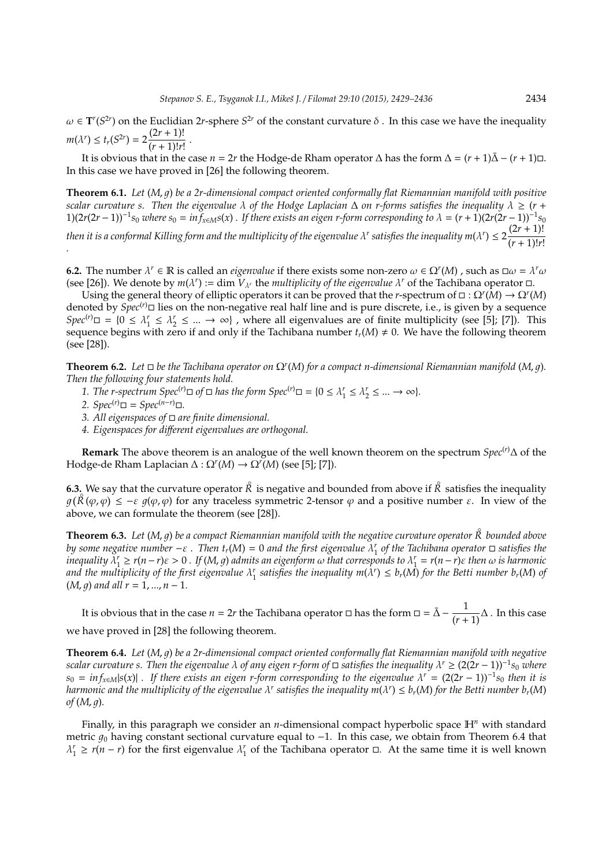$\omega \in T^r(S^{2r})$  on the Euclidian 2*r*-sphere  $S^{2r}$  of the constant curvature  $\delta$ . In this case we have the inequality  $m(\lambda^r) \le t_r(S^{2r}) = 2 \frac{(2r+1)!}{(r+1)!r!}$  $\frac{(r^{2}-r^{2})^{2}}{(r+1)!r!}$ .

It is obvious that in the case *n* = 2*r* the Hodge-de Rham operator  $\Delta$  has the form  $\Delta = (r + 1)\bar{\Delta} - (r + 1)\Box$ . In this case we have proved in [26] the following theorem.

**Theorem 6.1.** *Let* (*M*, *q*) *be a 2r-dimensional compact oriented conformally flat Riemannian manifold with positive scalar curvature s. Then the eigenvalue*  $\lambda$  *of the Hodge Laplacian*  $\Delta$  *on r-forms satisfies the inequality*  $\lambda \geq (r + \lambda)$  $1(2r(2r-1))^{-1}s_0$  where  $s_0 = inf_{x \in M} s(x)$ . If there exists an eigen r-form corresponding to  $\lambda = (r+1)(2r(2r-1))^{-1}s_0$ *then it is a conformal Killing form and the multiplicity of the eigenvalue*  $\lambda^r$  *satisfies the inequality m(* $\lambda^r$ *)*  $\leq 2\frac{(2r+1)!}{(r-1)!r^2}$  $\frac{1}{2}$   $\frac{1}{2}$   $\frac{1}{2}$   $\frac{1}{2}$   $\frac{1}{2}$   $\frac{1}{2}$   $\frac{1}{2}$   $\frac{1}{2}$   $\frac{1}{2}$   $\frac{1}{2}$   $\frac{1}{2}$   $\frac{1}{2}$   $\frac{1}{2}$   $\frac{1}{2}$   $\frac{1}{2}$   $\frac{1}{2}$   $\frac{1}{2}$   $\frac{1}{2}$   $\frac{1}{2}$   $\frac{1}{2}$   $\frac{1}{2}$   $\frac{1}{2}$ 

**6.2.** The number  $\lambda^r \in \mathbb{R}$  is called an *eigenvalue* if there exists some non-zero  $\omega \in \Omega^r(M)$  , such as  $\Box \omega = \lambda^r \omega$ (see [26]). We denote by  $m(\lambda^r) := \dim V_{\lambda^r}$  the *multiplicity of the eigenvalue*  $\lambda^r$  of the Tachibana operator  $\Box$ .

Using the general theory of elliptic operators it can be proved that the *r*-spectrum of  $\Box$ :  $\Omega^r(M) \to \Omega^r(M)$ denoted by  $Spec^{(r)}\Box$  lies on the non-negative real half line and is pure discrete, i.e., is given by a sequence  $Spec^{(r)}\Box = \{0 \leq \lambda_1^r \leq \lambda_2^r \leq ... \rightarrow \infty\}$ , where all eigenvalues are of finite multiplicity (see [5]; [7]). This sequence begins with zero if and only if the Tachibana number  $t_r(M) \neq 0$ . We have the following theorem (see [28]).

**Theorem 6.2.** Let  $\Box$  be the Tachibana operator on  $\Omega^r(M)$  for a compact n-dimensional Riemannian manifold (M, g). *Then the following four statements hold.*

- *1. The r-spectrum*  $Spec^{(r)} \square$  *of*  $\square$  *has the form*  $Spec^{(r)} \square = \{0 \leq \lambda_1^r \leq \lambda_2^r \leq ... \to \infty\}$ *.*
- *2. Spec*<sup>(*r*)</sup> $\Box$  = *Spec*<sup>(*n*−*r*) $\Box$ .</sup>
- *3. All eigenspaces of are finite dimensional.*
- *4. Eigenspaces for di*ff*erent eigenvalues are orthogonal.*

**Remark** The above theorem is an analogue of the well known theorem on the spectrum *Spec*(*r*)∆ of the Hodge-de Rham Laplacian ∆ : Ω*<sup>r</sup>* (*M*) → Ω*<sup>r</sup>* (*M*) (see [5]; [7]).

**6.3.** We say that the curvature operator  $\hat{R}$  is negative and bounded from above if  $\hat{R}$  satisfies the inequality  $g(R(\varphi,\varphi)) \leq -\varepsilon g(\varphi,\varphi)$  for any traceless symmetric 2-tensor  $\varphi$  and a positive number  $\varepsilon$ . In view of the above, we can formulate the theorem (see [28]).

**Theorem 6.3.** *Let* (*M*, <sup>1</sup>) *be a compact Riemannian manifold with the negative curvature operator R*◦ *bounded above by some negative number*  $-\varepsilon$ . Then  $t_r(M) = 0$  and the first eigenvalue  $\lambda_1^r$  of the Tachibana operator  $\Box$  satisfies the *inequality*  $\lambda_1^r \ge r(n-r)\varepsilon > 0$ . If (M, g) admits an eigenform  $\omega$  that corresponds to  $\lambda_1^r = r(n-r)\varepsilon$  then  $\omega$  is harmonic and the multiplicity of the first eigenvalue  $\lambda_1^r$  satisfies the inequality  $m(\lambda^r) \leq b_r(M)$  for the Betti number  $b_r(M)$  of  $(M, q)$  and all  $r = 1, ..., n - 1$ .

It is obvious that in the case  $n = 2r$  the Tachibana operator  $\Box$  has the form  $\Box = \bar{\Delta} - \frac{1}{(r+1)}\Delta$ . In this case we have proved in [28] the following theorem.

**Theorem 6.4.** *Let* (*M*, *q*) *be a 2r-dimensional compact oriented conformally flat Riemannian manifold with negative scalar curvature s. Then the eigenvalue* λ *of any eigen r-form of satisfies the inequality* λ *<sup>r</sup>* ≥ (2(2*r* − 1))<sup>−</sup><sup>1</sup> *s*<sup>0</sup> *where*  $s_0 = \inf_{x \in M} |s(x)|$  *a If there exists an eigen r-form corresponding to the eigenvalue*  $\lambda^r = (2(2r - 1))^{-1} s_0$  *then it is* harmonic and the multiplicity of the eigenvalue  $\lambda^r$  satisfies the inequality  $m(\lambda^r)\leq b_r(M)$  for the Betti number  $b_r(M)$  $of (M, q)$ .

Finally, in this paragraph we consider an *n*-dimensional compact hyperbolic space H*<sup>n</sup>* with standard metric  $g_0$  having constant sectional curvature equal to  $-1$ . In this case, we obtain from Theorem 6.4 that  $\lambda_1^r \ge r(n-r)$  for the first eigenvalue  $\lambda_1^r$  of the Tachibana operator  $\Box$ . At the same time it is well known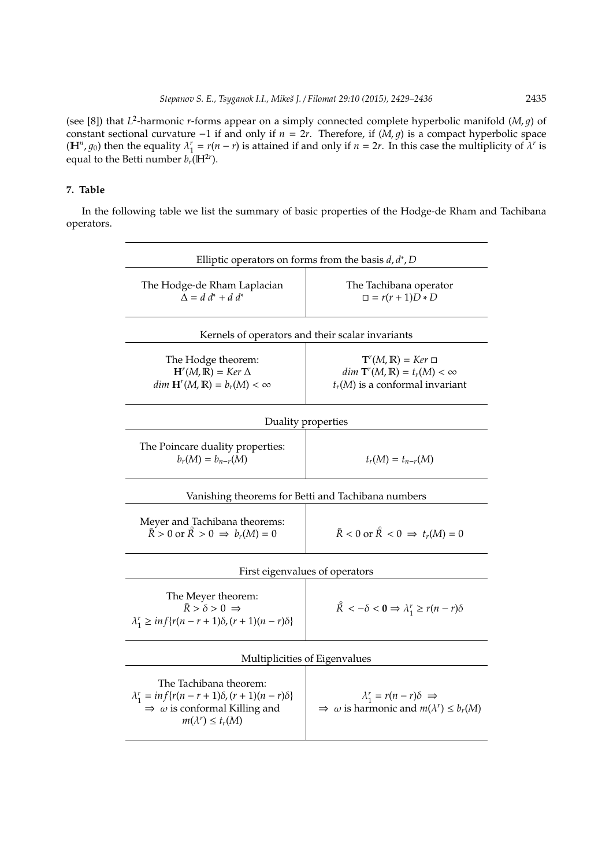(see [8]) that  $L^2$ -harmonic *r*-forms appear on a simply connected complete hyperbolic manifold (*M*, *g*) of constant sectional curvature −1 if and only if  $n = 2r$ . Therefore, if  $(M, g)$  is a compact hyperbolic space ( $\mathbb{H}^n$ ,  $g_0$ ) then the equality  $\lambda_1^r = r(n-r)$  is attained if and only if  $n = 2r$ . In this case the multiplicity of  $\lambda^r$  is equal to the Betti number  $b_r(\mathbb{H}^{2r})$ .

# **7. Table**

In the following table we list the summary of basic properties of the Hodge-de Rham and Tachibana operators.

| Elliptic operators on forms from the basis $d, d^*$ , D                                                                                                                          |                                                                                                                                         |
|----------------------------------------------------------------------------------------------------------------------------------------------------------------------------------|-----------------------------------------------------------------------------------------------------------------------------------------|
| The Hodge-de Rham Laplacian<br>$\Delta = d d^* + d d^*$                                                                                                                          | The Tachibana operator<br>$\Box = r(r+1)D*D$                                                                                            |
| Kernels of operators and their scalar invariants                                                                                                                                 |                                                                                                                                         |
| The Hodge theorem:<br>$Hr(M,\mathbb{R}) = Ker \Delta$<br>$dim H^{r}(M,\mathbb{R}) = b_{r}(M) < \infty$                                                                           | $\mathbf{T}^r(M,\mathbb{R}) = Ker \ \Box$<br>$dim \, \mathrm{T}^r(M,\mathbb{R}) = t_r(M) < \infty$<br>$t_r(M)$ is a conformal invariant |
| Duality properties                                                                                                                                                               |                                                                                                                                         |
| The Poincare duality properties:<br>$b_r(M) = b_{n-r}(M)$                                                                                                                        | $t_r(M) = t_{n-r}(M)$                                                                                                                   |
| Vanishing theorems for Betti and Tachibana numbers                                                                                                                               |                                                                                                                                         |
| Meyer and Tachibana theorems:<br>$\overline{R} > 0$ or $\overline{R} > 0 \Rightarrow b_r(M) = 0$                                                                                 | $\bar{R}$ < 0 or $\mathring{R}$ < 0 $\Rightarrow$ $t_r(M) = 0$                                                                          |
| First eigenvalues of operators                                                                                                                                                   |                                                                                                                                         |
| The Meyer theorem:<br>$\bar{R} > \delta > 0 \Rightarrow$<br>$\lambda_1^r \ge \inf\{r(n-r+1)\delta, (r+1)(n-r)\delta\}$                                                           | $\mathcal{R} < -\delta < 0 \Rightarrow \lambda_1^r \ge r(n-r)\delta$                                                                    |
| Multiplicities of Eigenvalues                                                                                                                                                    |                                                                                                                                         |
| The Tachibana theorem:<br>$\lambda_1^r = \inf \{ r(n - r + 1) \delta, (r + 1)(n - r) \delta \}$<br>$\Rightarrow$ $\omega$ is conformal Killing and<br>$m(\lambda^r) \leq t_r(M)$ | $\lambda_1^r = r(n-r)\delta \implies$<br>$\Rightarrow$ $\omega$ is harmonic and $m(\lambda^r) \leq b_r(M)$                              |